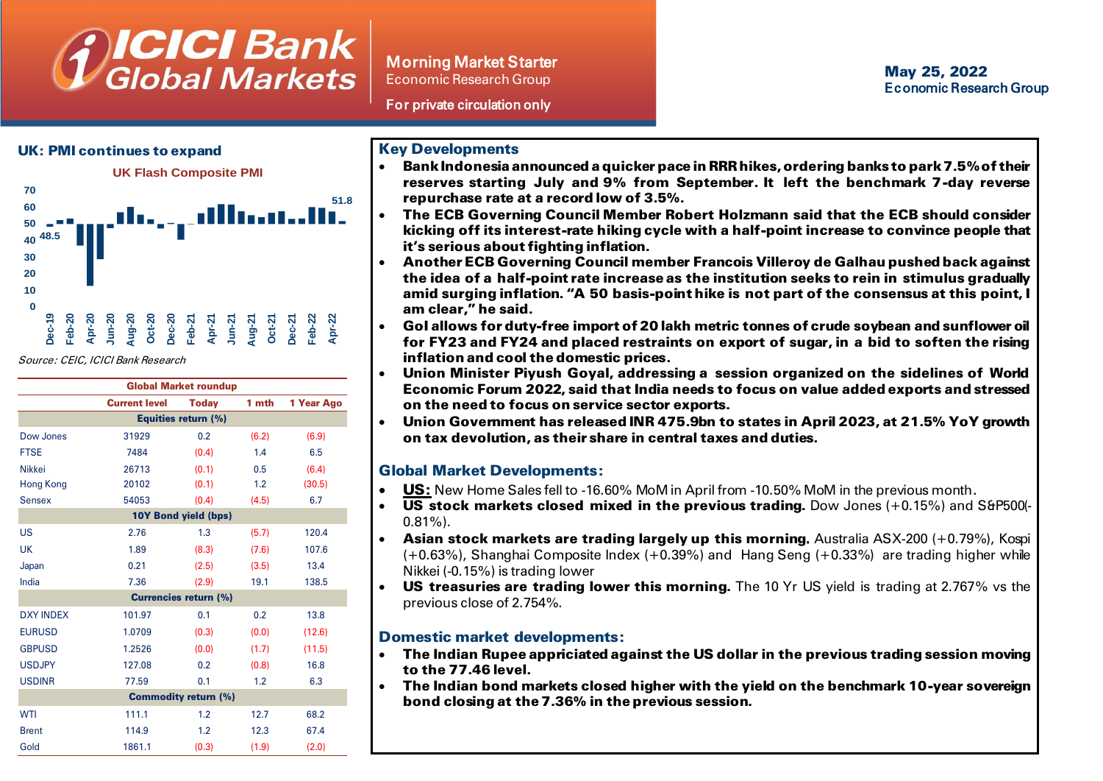# **ICICI Bank**<br>Global Markets

Morning Market Starter Economic Research Group

For private circulation only

## UK: PMI continues to expand



Source: CEIC, ICICI Bank Research

| <b>Global Market roundup</b> |                      |              |       |            |  |  |  |
|------------------------------|----------------------|--------------|-------|------------|--|--|--|
|                              | <b>Current level</b> | <b>Today</b> | 1 mth | 1 Year Ago |  |  |  |
| <b>Equities return (%)</b>   |                      |              |       |            |  |  |  |
| Dow Jones                    | 31929                | 0.2          | (6.2) | (6.9)      |  |  |  |
| <b>FTSE</b>                  | 7484                 | (0.4)        | 1.4   | 6.5        |  |  |  |
| <b>Nikkei</b>                | 26713                | (0.1)        | 0.5   | (6.4)      |  |  |  |
| Hong Kong                    | 20102                | (0.1)        | 1.2   | (30.5)     |  |  |  |
| <b>Sensex</b>                | 54053                | (0.4)        | (4.5) | 6.7        |  |  |  |
| 10Y Bond yield (bps)         |                      |              |       |            |  |  |  |
| <b>US</b>                    | 2.76                 | 1.3          | (5.7) | 120.4      |  |  |  |
| UK                           | 1.89                 | (8.3)        | (7.6) | 107.6      |  |  |  |
| Japan                        | 0.21                 | (2.5)        | (3.5) | 13.4       |  |  |  |
| India                        | 7.36                 | (2.9)        | 19.1  | 138.5      |  |  |  |
| <b>Currencies return (%)</b> |                      |              |       |            |  |  |  |
| <b>DXY INDEX</b>             | 101.97               | 0.1          | 0.2   | 13.8       |  |  |  |
| <b>EURUSD</b>                | 1.0709               | (0.3)        | (0.0) | (12.6)     |  |  |  |
| <b>GBPUSD</b>                | 1.2526               | (0.0)        | (1.7) | (11.5)     |  |  |  |
| <b>USDJPY</b>                | 127.08               | 0.2          | (0.8) | 16.8       |  |  |  |
| <b>USDINR</b>                | 77.59                | 0.1          | 1.2   | 6.3        |  |  |  |
| <b>Commodity return (%)</b>  |                      |              |       |            |  |  |  |
| <b>WTI</b>                   | 111.1                | 1.2          | 12.7  | 68.2       |  |  |  |
| <b>Brent</b>                 | 114.9                | 1.2          | 12.3  | 67.4       |  |  |  |
| Gold                         | 1861.1               | (0.3)        | (1.9) | (2.0)      |  |  |  |

# Key Developments

- Bank Indonesia announced a quicker pace in RRR hikes, ordering banks to park 7.5% of their reserves starting July and 9% from September. It left the benchmark 7-day reverse repurchase rate at a record low of 3.5%.
- The ECB Governing Council Member Robert Holzmann said that the ECB should consider kicking off its interest-rate hiking cycle with a half-point increase to convince people that it's serious about fighting inflation.
- Another ECB Governing Council member Francois Villeroy de Galhau pushed back against the idea of a half-point rate increase as the institution seeks to rein in stimulus gradually amid surging inflation. "A 50 basis-point hike is not part of the consensus at this point, I am clear," he said.
- GoI allows for duty-free import of 20 lakh metric tonnes of crude soybean and sunflower oil for FY23 and FY24 and placed restraints on export of sugar, in a bid to soften the rising inflation and cool the domestic prices.
- Union Minister Piyush Goyal, addressing a session organized on the sidelines of World Economic Forum 2022, said that India needs to focus on value added exports and stressed on the need to focus on service sector exports.
- Union Government has released INR 475.9bn to states in April 2023, at 21.5% YoY growth on tax devolution, as their share in central taxes and duties.

# Global Market Developments:

- US: New Home Sales fell to -16.60% MoM in April from -10.50% MoM in the previous month.
- $\bullet$  US stock markets closed mixed in the previous trading. Dow Jones (+0.15%) and S&P500(- $0.81\%$ ).
- **Asian stock markets are trading largely up this morning.** Australia ASX-200  $(+0.79\%)$ , Kospi (+0.63%), Shanghai Composite Index (+0.39%) and Hang Seng (+0.33%) are trading higher while Nikkei (-0.15%) is trading lower
- US treasuries are trading lower this morning. The 10 Yr US yield is trading at 2.767% vs the previous close of 2.754%.

## Domestic market developments:

- The Indian Rupee appriciated against the US dollar in the previous trading session moving to the 77.46 level.
- The Indian bond markets closed higher with the yield on the benchmark 10-year sovereign bond closing at the 7.36% in the previous session.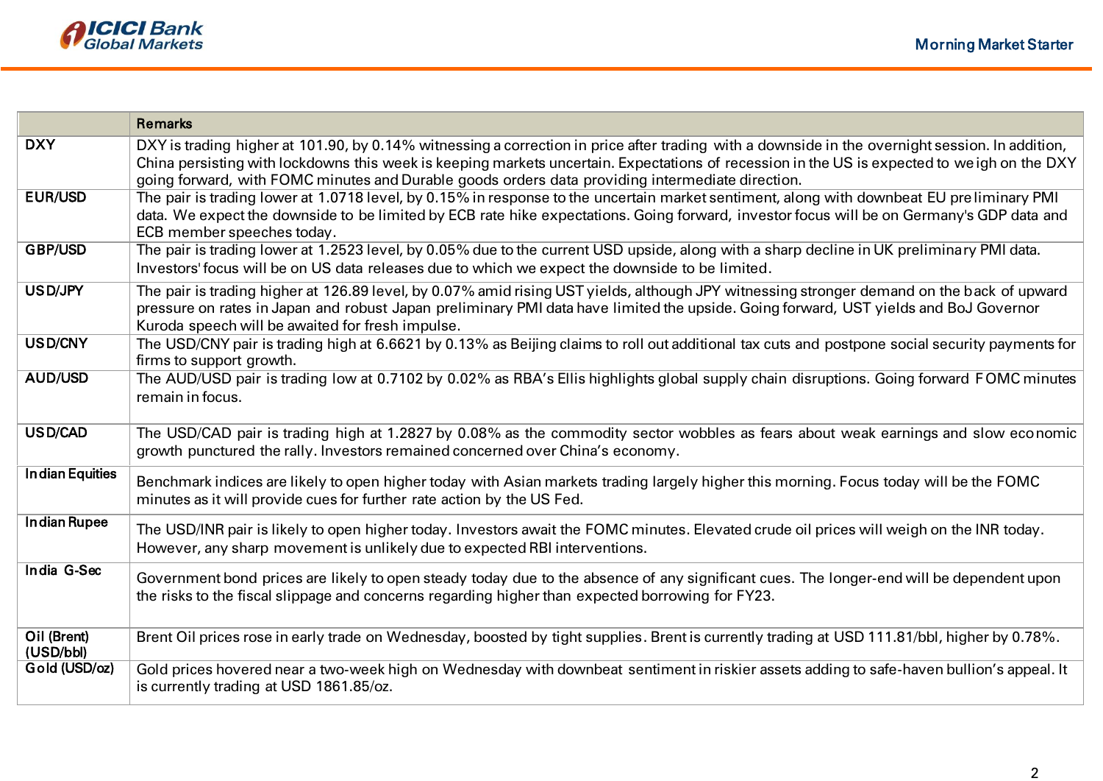

|                          | <b>Remarks</b>                                                                                                                                                                                                                                                                                                                                                                                     |
|--------------------------|----------------------------------------------------------------------------------------------------------------------------------------------------------------------------------------------------------------------------------------------------------------------------------------------------------------------------------------------------------------------------------------------------|
| <b>DXY</b>               | DXY is trading higher at 101.90, by 0.14% witnessing a correction in price after trading with a downside in the overnight session. In addition,<br>China persisting with lockdowns this week is keeping markets uncertain. Expectations of recession in the US is expected to weigh on the DXY<br>going forward, with FOMC minutes and Durable goods orders data providing intermediate direction. |
| <b>EUR/USD</b>           | The pair is trading lower at 1.0718 level, by 0.15% in response to the uncertain market sentiment, along with downbeat EU preliminary PMI<br>data. We expect the downside to be limited by ECB rate hike expectations. Going forward, investor focus will be on Germany's GDP data and<br>ECB member speeches today.                                                                               |
| <b>GBP/USD</b>           | The pair is trading lower at 1.2523 level, by 0.05% due to the current USD upside, along with a sharp decline in UK preliminary PMI data.<br>Investors' focus will be on US data releases due to which we expect the downside to be limited.                                                                                                                                                       |
| USD/JPY                  | The pair is trading higher at 126.89 level, by 0.07% amid rising UST yields, although JPY witnessing stronger demand on the back of upward<br>pressure on rates in Japan and robust Japan preliminary PMI data have limited the upside. Going forward, UST yields and BoJ Governor<br>Kuroda speech will be awaited for fresh impulse.                                                             |
| USD/CNY                  | The USD/CNY pair is trading high at 6.6621 by 0.13% as Beijing claims to roll out additional tax cuts and postpone social security payments for<br>firms to support growth.                                                                                                                                                                                                                        |
| <b>AUD/USD</b>           | The AUD/USD pair is trading low at 0.7102 by 0.02% as RBA's Ellis highlights global supply chain disruptions. Going forward FOMC minutes<br>remain in focus.                                                                                                                                                                                                                                       |
| USD/CAD                  | The USD/CAD pair is trading high at 1.2827 by 0.08% as the commodity sector wobbles as fears about weak earnings and slow economic<br>growth punctured the rally. Investors remained concerned over China's economy.                                                                                                                                                                               |
| <b>Indian Equities</b>   | Benchmark indices are likely to open higher today with Asian markets trading largely higher this morning. Focus today will be the FOMC<br>minutes as it will provide cues for further rate action by the US Fed.                                                                                                                                                                                   |
| <b>Indian Rupee</b>      | The USD/INR pair is likely to open higher today. Investors await the FOMC minutes. Elevated crude oil prices will weigh on the INR today.<br>However, any sharp movement is unlikely due to expected RBI interventions.                                                                                                                                                                            |
| India G-Sec              | Government bond prices are likely to open steady today due to the absence of any significant cues. The longer-end will be dependent upon<br>the risks to the fiscal slippage and concerns regarding higher than expected borrowing for FY23.                                                                                                                                                       |
| Oil (Brent)<br>(USD/bbl) | Brent Oil prices rose in early trade on Wednesday, boosted by tight supplies. Brent is currently trading at USD 111.81/bbl, higher by 0.78%.                                                                                                                                                                                                                                                       |
| Gold (USD/oz)            | Gold prices hovered near a two-week high on Wednesday with downbeat sentiment in riskier assets adding to safe-haven bullion's appeal. It<br>is currently trading at USD 1861.85/oz.                                                                                                                                                                                                               |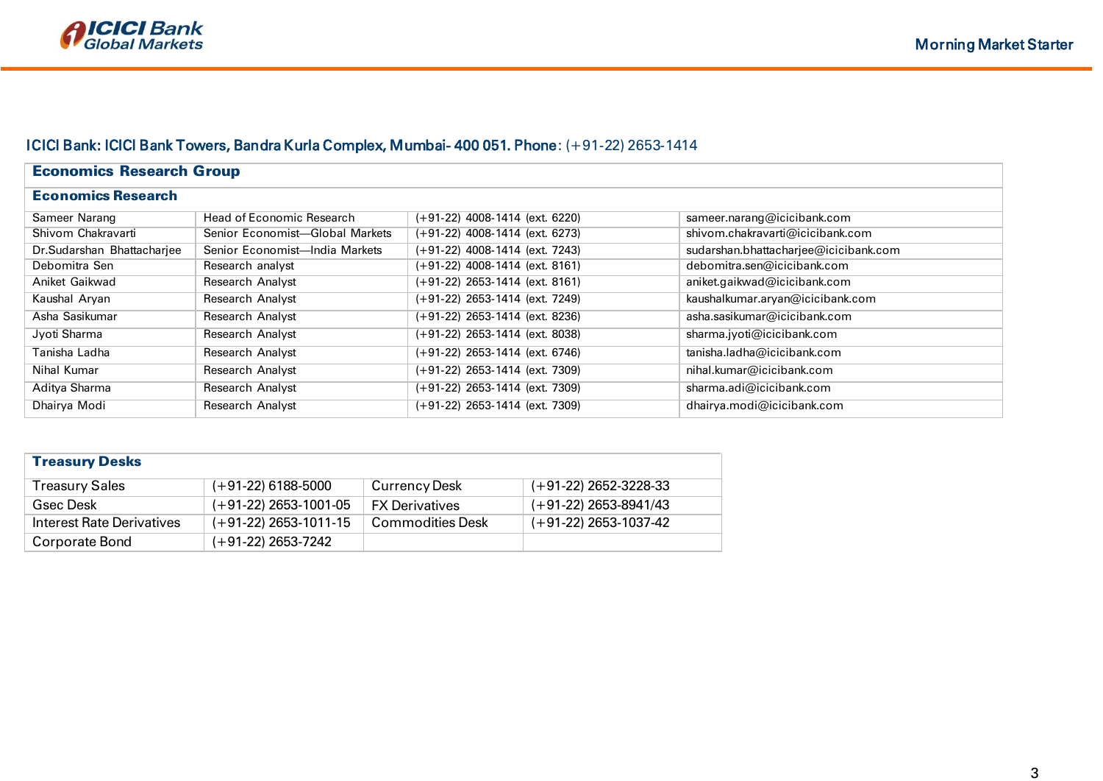# ICICI Bank: ICICI Bank Towers, Bandra Kurla Complex, Mumbai- 400 051. Phone: (+91-22) 2653-1414

| <b>Economics Research Group</b> |                                 |                                   |                                       |  |  |  |  |
|---------------------------------|---------------------------------|-----------------------------------|---------------------------------------|--|--|--|--|
| <b>Economics Research</b>       |                                 |                                   |                                       |  |  |  |  |
| Sameer Narang                   | Head of Economic Research       | $(+91-22)$ 4008-1414 (ext. 6220)  | sameer.narang@icicibank.com           |  |  |  |  |
| Shivom Chakravarti              | Senior Economist-Global Markets | $(+91-22)$ 4008-1414 (ext. 6273)  | shivom.chakravarti@icicibank.com      |  |  |  |  |
| Dr.Sudarshan Bhattacharjee      | Senior Economist-India Markets  | $( +91-22)$ 4008-1414 (ext. 7243) | sudarshan.bhattacharjee@icicibank.com |  |  |  |  |
| Debomitra Sen                   | Research analyst                | $(+91-22)$ 4008-1414 (ext. 8161)  | debomitra.sen@icicibank.com           |  |  |  |  |
| Aniket Gaikwad                  | <b>Research Analyst</b>         | $(+91-22)$ 2653-1414 (ext. 8161)  | aniket.gaikwad@icicibank.com          |  |  |  |  |
| Kaushal Aryan                   | <b>Research Analyst</b>         | $(+91-22)$ 2653-1414 (ext. 7249)  | kaushalkumar.aryan@icicibank.com      |  |  |  |  |
| Asha Sasikumar                  | <b>Research Analyst</b>         | $(+91-22)$ 2653-1414 (ext. 8236)  | asha.sasikumar@icicibank.com          |  |  |  |  |
| Jyoti Sharma                    | <b>Research Analyst</b>         | $(+91-22)$ 2653-1414 (ext. 8038)  | sharma.jyoti@icicibank.com            |  |  |  |  |
| Tanisha Ladha                   | <b>Research Analyst</b>         | $(+91-22)$ 2653-1414 (ext. 6746)  | tanisha.ladha@icicibank.com           |  |  |  |  |
| Nihal Kumar                     | <b>Research Analyst</b>         | $(+91-22)$ 2653-1414 (ext. 7309)  | nihal.kumar@icicibank.com             |  |  |  |  |
| Aditya Sharma                   | <b>Research Analyst</b>         | $(+91-22)$ 2653-1414 (ext. 7309)  | sharma.adi@icicibank.com              |  |  |  |  |
| Dhairya Modi                    | <b>Research Analyst</b>         | $(+91-22)$ 2653-1414 (ext. 7309)  | dhairya.modi@icicibank.com            |  |  |  |  |

| <b>Treasury Desks</b>     |                         |                         |                         |  |  |  |
|---------------------------|-------------------------|-------------------------|-------------------------|--|--|--|
| <b>Treasury Sales</b>     | $(+91-22)$ 6188-5000    | Currency Desk           | $(+91-22)$ 2652-3228-33 |  |  |  |
| Gsec Desk                 | $(+91-22)$ 2653-1001-05 | <b>FX Derivatives</b>   | $(+91-22)$ 2653-8941/43 |  |  |  |
| Interest Rate Derivatives | $(+91-22)$ 2653-1011-15 | <b>Commodities Desk</b> | $(+91-22)$ 2653-1037-42 |  |  |  |
| Corporate Bond            | $(+91-22)$ 2653-7242    |                         |                         |  |  |  |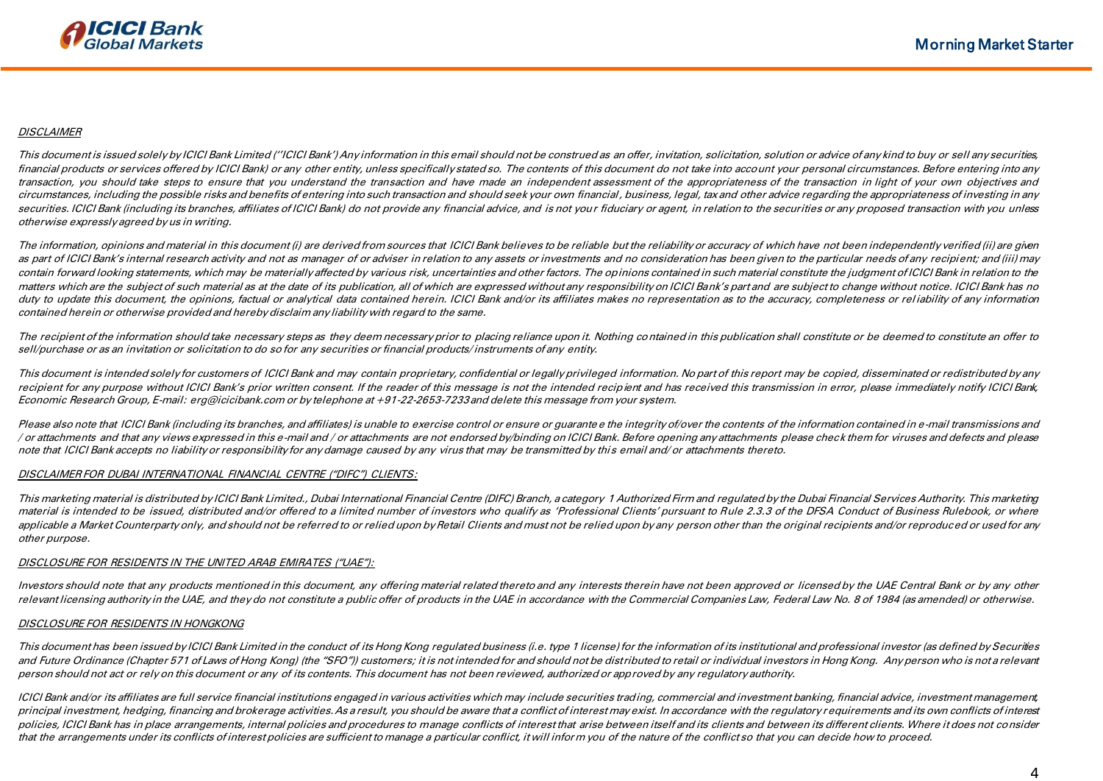## **DISCLAIMER**

This document is issued solely by ICICI Bank Limited (''ICICI Bank') Any information in this email should not be construed as an offer, invitation, solicitation, solution or advice of any kind to buy or sell any securities, financial products or services offered by ICICI Bank) or any other entity, unless specifically stated so. The contents of this document do not take into account your personal circumstances. Before entering into any transaction, you should take steps to ensure that you understand the transaction and have made an independent assessment of the appropriateness of the transaction in light of your own objectives and circumstances, including the possible risks and benefits of entering into such transaction and should seek your own financial , business, legal, tax and other advice regarding the appropriateness of investing in any securities. ICICI Bank (including its branches, affiliates of ICICI Bank) do not provide any financial advice, and is not your fiduciary or agent, in relation to the securities or any proposed transaction with you unless otherwise expressly agreed by us in writing.

The information, opinions and material in this document (i) are derived from sources that ICICI Bank believes to be reliable but the reliability or accuracy of which have not been independently verified (ii) are given as part of ICICI Bank's internal research activity and not as manager of or adviser in relation to any assets or investments and no consideration has been given to the particular needs of any recipient; and (iii) may contain forward looking statements, which may be materially affected by various risk, uncertainties and other factors. The opinions contained in such material constitute the judgment of ICICI Bank in relation to the matters which are the subject of such material as at the date of its publication, all of which are expressed without any responsibility on ICICI Bank's part and are subject to change without notice. ICICI Bank has no duty to update this document, the opinions, factual or analytical data contained herein. ICICI Bank and/or its affiliates makes no representation as to the accuracy, completeness or reliability of any information contained herein or otherwise provided and hereby disclaim any liability with regard to the same.

The recipient of the information should take necessary steps as they deem necessary prior to placing reliance upon it. Nothing contained in this publication shall constitute or be deemed to constitute an offer to sell/purchase or as an invitation or solicitation to do so for any securities or financial products/ instruments of any entity.

This document is intended solely for customers of ICICI Bank and may contain proprietary, confidential or legally privileged information. No part of this report may be copied, disseminated or redistributed by any recipient for any purpose without ICICI Bank's prior written consent. If the reader of this message is not the intended recipient and has received this transmission in error, please immediately notify ICICI Bank, Economic Research Group, E-mail: erg@icicibank.com or by telephone at +91-22-2653-7233 and delete this message from your system.

Please also note that ICICI Bank (including its branches, and affiliates) is unable to exercise control or ensure or quarante e the integrity of/over the contents of the information contained in e-mail transmissions and / or attachments and that any views expressed in this e-mail and / or attachments are not endorsed by/binding on ICICI Bank. Before opening any attachments please check them for viruses and defects and please note that ICICI Bank accepts no liability or responsibility for any damage caused by any virus that may be transmitted by this email and/ or attachments thereto.

## DISCLAIMER FOR DUBAI INTERNATIONAL FINANCIAL CENTRE ("DIFC") CLIENTS:

This marketing material is distributed by ICICI Bank Limited., Dubai International Financial Centre (DIFC) Branch, a category 1 Authorized Firm and regulated by the Dubai Financial Services Authority. This marketing material is intended to be issued, distributed and/or offered to a limited number of investors who qualify as 'Professional Clients' pursuant to Rule 2.3.3 of the DFSA Conduct of Business Rulebook, or where applicable a Market Counterparty only, and should not be referred to or relied upon by Retail Clients and must not be relied upon by any person other than the original recipients and/or reproduced or used for any other purpose.

## DISCLOSURE FOR RESIDENTS IN THE UNITED ARAB EMIRATES ("UAE"):

Investors should note that any products mentioned in this document, any offering material related thereto and any interests therein have not been approved or licensed by the UAE Central Bank or by any other relevant licensing authority in the UAE, and they do not constitute a public offer of products in the UAE in accordance with the Commercial Companies Law, Federal Law No. 8 of 1984 (as amended) or otherwise.

## DISCLOSURE FOR RESIDENTS IN HONGKONG

This document has been issued by ICICI Bank Limited in the conduct of its Hong Kong regulated business (i.e. type 1 license) for the information of its institutional and professional investor (as defined by Securities and Future Ordinance (Chapter 571 of Laws of Hong Kong) (the "SFO")) customers; it is not intended for and should not be distributed to retail or individual investors in Hong Kong. Any person who is not a relevant person should not act or rely on this document or any of its contents. This document has not been reviewed, authorized or approved by any regulatory authority.

ICICI Bank and/or its affiliates are full service financial institutions engaged in various activities which may include securities trading, commercial and investment banking, financial advice, investment management, principal investment, hedging, financing and brokerage activities. As a result, you should be aware that a conflict of interest may exist. In accordance with the regulatory requirements and its own conflicts of interest policies, ICICI Bank has in place arrangements, internal policies and procedures to manage conflicts of interest that arise between itself and its clients and between its different clients. Where it does not consider that the arrangements under its conflicts of interest policies are sufficient to manage a particular conflict, it will inform you of the nature of the conflict so that you can decide how to proceed.